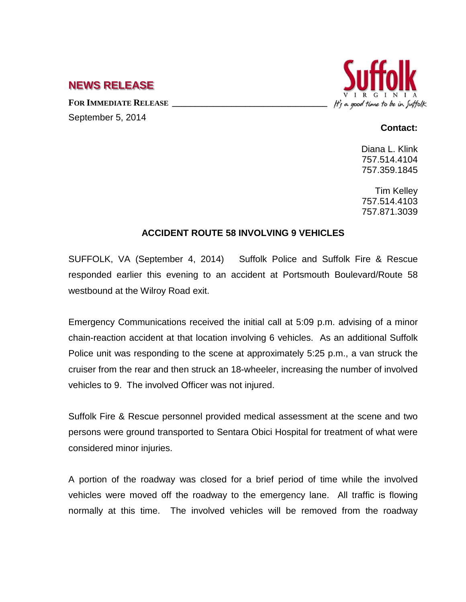## **NEWS RELEASE**

FOR **IMMEDIATE RELEASE** September 5, 2014



## **Contact:**

Diana L. Klink 757.514.4104 757.359.1845

Tim Kelley 757.514.4103 757.871.3039

## **ACCIDENT ROUTE 58 INVOLVING 9 VEHICLES**

SUFFOLK, VA (September 4, 2014) Suffolk Police and Suffolk Fire & Rescue responded earlier this evening to an accident at Portsmouth Boulevard/Route 58 westbound at the Wilroy Road exit.

Emergency Communications received the initial call at 5:09 p.m. advising of a minor chain-reaction accident at that location involving 6 vehicles. As an additional Suffolk Police unit was responding to the scene at approximately 5:25 p.m., a van struck the cruiser from the rear and then struck an 18-wheeler, increasing the number of involved vehicles to 9. The involved Officer was not injured.

Suffolk Fire & Rescue personnel provided medical assessment at the scene and two persons were ground transported to Sentara Obici Hospital for treatment of what were considered minor injuries.

A portion of the roadway was closed for a brief period of time while the involved vehicles were moved off the roadway to the emergency lane. All traffic is flowing normally at this time. The involved vehicles will be removed from the roadway